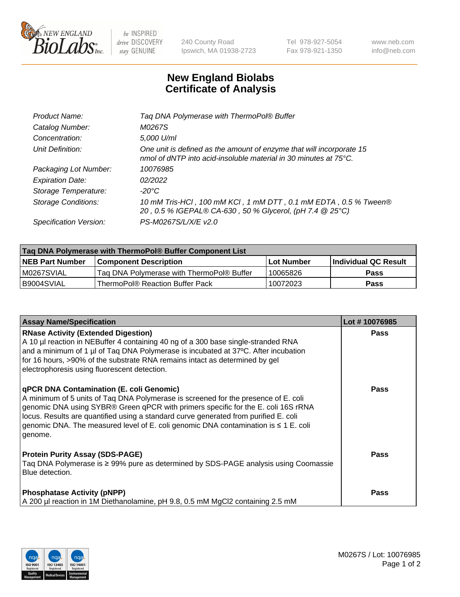

 $be$  INSPIRED drive DISCOVERY stay GENUINE

240 County Road Ipswich, MA 01938-2723 Tel 978-927-5054 Fax 978-921-1350 www.neb.com info@neb.com

## **New England Biolabs Certificate of Analysis**

| Tag DNA Polymerase with ThermoPol® Buffer                                                                                                |
|------------------------------------------------------------------------------------------------------------------------------------------|
| M0267S                                                                                                                                   |
| 5,000 U/ml                                                                                                                               |
| One unit is defined as the amount of enzyme that will incorporate 15<br>nmol of dNTP into acid-insoluble material in 30 minutes at 75°C. |
| 10076985                                                                                                                                 |
| 02/2022                                                                                                                                  |
| $-20^{\circ}$ C                                                                                                                          |
| 10 mM Tris-HCl, 100 mM KCl, 1 mM DTT, 0.1 mM EDTA, 0.5 % Tween®<br>20, 0.5 % IGEPAL® CA-630, 50 % Glycerol, (pH 7.4 @ 25°C)              |
| PS-M0267S/L/X/E v2.0                                                                                                                     |
|                                                                                                                                          |

| Tag DNA Polymerase with ThermoPol® Buffer Component List |                                           |                   |                      |  |
|----------------------------------------------------------|-------------------------------------------|-------------------|----------------------|--|
| <b>INEB Part Number</b>                                  | Component Description_                    | <b>Lot Number</b> | Individual QC Result |  |
| M0267SVIAL                                               | Tag DNA Polymerase with ThermoPol® Buffer | 10065826          | Pass                 |  |
| B9004SVIAL                                               | ThermoPol® Reaction Buffer Pack           | 10072023          | <b>Pass</b>          |  |

| <b>Assay Name/Specification</b>                                                                                                                                                                                                                                                                                                                                                                               | Lot #10076985 |
|---------------------------------------------------------------------------------------------------------------------------------------------------------------------------------------------------------------------------------------------------------------------------------------------------------------------------------------------------------------------------------------------------------------|---------------|
| <b>RNase Activity (Extended Digestion)</b><br>A 10 µl reaction in NEBuffer 4 containing 40 ng of a 300 base single-stranded RNA<br>and a minimum of 1 µl of Taq DNA Polymerase is incubated at 37°C. After incubation<br>for 16 hours, >90% of the substrate RNA remains intact as determined by gel<br>electrophoresis using fluorescent detection.                                                          | <b>Pass</b>   |
| qPCR DNA Contamination (E. coli Genomic)<br>A minimum of 5 units of Tag DNA Polymerase is screened for the presence of E. coli<br>genomic DNA using SYBR® Green qPCR with primers specific for the E. coli 16S rRNA<br>locus. Results are quantified using a standard curve generated from purified E. coli<br>genomic DNA. The measured level of E. coli genomic DNA contamination is ≤ 1 E. coli<br>genome. | Pass          |
| <b>Protein Purity Assay (SDS-PAGE)</b><br>Taq DNA Polymerase is ≥ 99% pure as determined by SDS-PAGE analysis using Coomassie<br>Blue detection.                                                                                                                                                                                                                                                              | Pass          |
| <b>Phosphatase Activity (pNPP)</b><br>A 200 µl reaction in 1M Diethanolamine, pH 9.8, 0.5 mM MgCl2 containing 2.5 mM                                                                                                                                                                                                                                                                                          | Pass          |